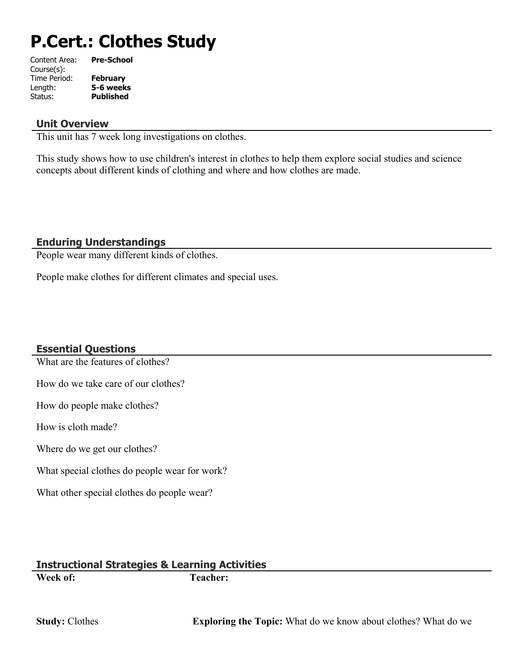# **P.Cert.: Clothes Study**

| Content Area: | <b>Pre-School</b> |
|---------------|-------------------|
| Course(s):    |                   |
| Time Period:  | <b>February</b>   |
| Length:       | 5-6 weeks         |
| Status:       | <b>Published</b>  |
|               |                   |

#### **Unit Overview**

This unit has 7 week long investigations on clothes.

This study shows how to use children's interest in clothes to help them explore social studies and science concepts about different kinds of clothing and where and how clothes are made.

#### **Enduring Understandings**

People wear many different kinds of clothes.

People make clothes for different climates and special uses.

#### **Essential Questions**

What are the features of clothes?

How do we take care of our clothes?

How do people make clothes?

How is cloth made?

Where do we get our clothes?

What special clothes do people wear for work?

What other special clothes do people wear?

#### **Instructional Strategies & Learning Activities Week of: Teacher:**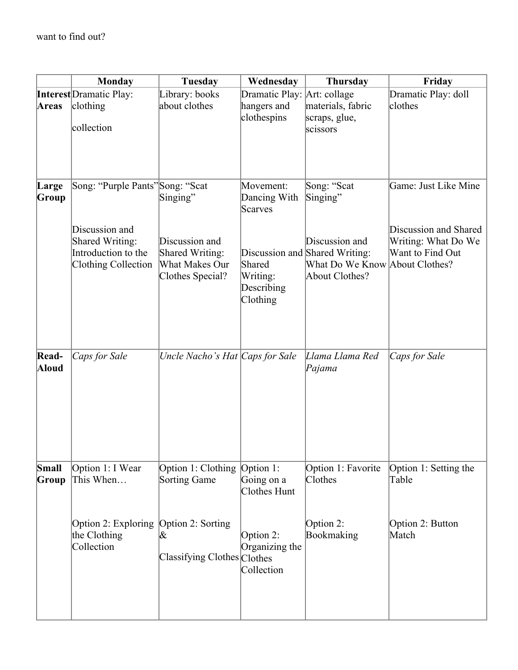|                | <b>Monday</b>                                                                   | <b>Tuesday</b>                                                          | Wednesday                                    | <b>Thursday</b>                                                                                      | Friday                                                           |
|----------------|---------------------------------------------------------------------------------|-------------------------------------------------------------------------|----------------------------------------------|------------------------------------------------------------------------------------------------------|------------------------------------------------------------------|
|                | <b>Interest</b> Dramatic Play:                                                  | Library: books                                                          | Dramatic Play: Art: collage                  |                                                                                                      | Dramatic Play: doll                                              |
| <b>Areas</b>   | clothing<br>collection                                                          | about clothes                                                           | hangers and<br>clothespins                   | materials, fabric<br>scraps, glue,<br>scissors                                                       | clothes                                                          |
| Large<br>Group | Song: "Purple Pants" Song: "Scat                                                | Singing"                                                                | Movement:<br>Dancing With<br>Scarves         | Song: "Scat<br>Singing"                                                                              | Game: Just Like Mine                                             |
|                | Discussion and<br>Shared Writing:<br>Introduction to the<br>Clothing Collection | Discussion and<br>Shared Writing:<br>What Makes Our<br>Clothes Special? | Shared<br>Writing:<br>Describing<br>Clothing | Discussion and<br>Discussion and Shared Writing:<br>What Do We Know About Clothes?<br>About Clothes? | Discussion and Shared<br>Writing: What Do We<br>Want to Find Out |
| Read-<br>Aloud | Caps for Sale                                                                   | Uncle Nacho's Hat Caps for Sale                                         |                                              | Llama Llama Red<br>Pajama                                                                            | Caps for Sale                                                    |
| Small<br>Group | Option 1: I Wear<br>This When                                                   | Option 1: Clothing Option 1:<br><b>Sorting Game</b>                     | Going on a<br>Clothes Hunt                   | Option 1: Favorite<br>Clothes                                                                        | Option 1: Setting the<br>Table                                   |
|                | Option 2: Exploring<br>the Clothing<br>Collection                               | Option 2: Sorting<br>Ι&<br>Classifying Clothes Clothes                  | Option 2:<br>Organizing the<br>Collection    | Option 2:<br>Bookmaking                                                                              | Option 2: Button<br>Match                                        |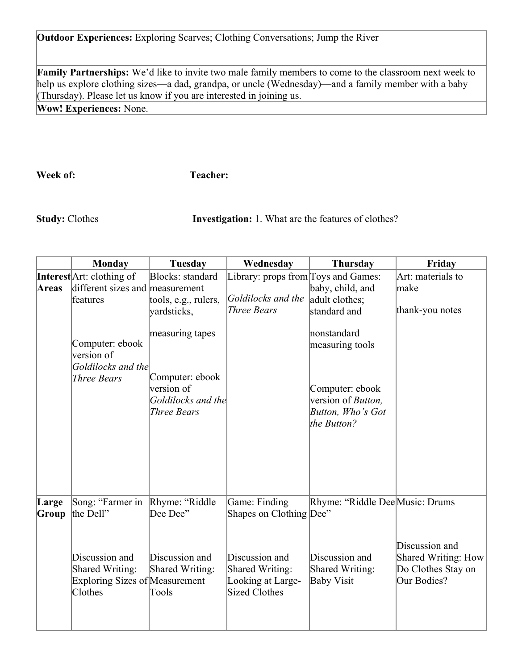**Outdoor Experiences:** Exploring Scarves; Clothing Conversations; Jump the River

**Family Partnerships:** We'd like to invite two male family members to come to the classroom next week to help us explore clothing sizes—a dad, grandpa, or uncle (Wednesday)—and a family member with a baby (Thursday). Please let us know if you are interested in joining us.

**Wow! Experiences:** None.

**Week of: Teacher:** 

**Study:** Clothes **Investigation:** 1. What are the features of clothes?

|                | <b>Monday</b>                                                                                | <b>Tuesday</b>                                                            | Wednesday                                                                      | <b>Thursday</b>                                                                   | Friday                                                                     |
|----------------|----------------------------------------------------------------------------------------------|---------------------------------------------------------------------------|--------------------------------------------------------------------------------|-----------------------------------------------------------------------------------|----------------------------------------------------------------------------|
|                | Interest Art: clothing of                                                                    | Blocks: standard                                                          | Library: props from Toys and Games:                                            |                                                                                   | Art: materials to                                                          |
| Areas          | different sizes and measurement<br>features                                                  | tools, e.g., rulers,<br>yardsticks,                                       | Goldilocks and the<br><b>Three Bears</b>                                       | baby, child, and<br>adult clothes;<br>standard and                                | make<br>thank-you notes                                                    |
|                | Computer: ebook<br>version of                                                                | measuring tapes                                                           |                                                                                | nonstandard<br>measuring tools                                                    |                                                                            |
|                | Goldilocks and the<br><b>Three Bears</b>                                                     | Computer: ebook<br>version of<br>Goldilocks and the<br><b>Three Bears</b> |                                                                                | Computer: ebook<br>version of <i>Button</i> ,<br>Button, Who's Got<br>the Button? |                                                                            |
| Large<br>Group | Song: "Farmer in<br>the Dell"                                                                | Rhyme: "Riddle<br>Dee Dee"                                                | Game: Finding<br>Shapes on Clothing Dee"                                       | Rhyme: "Riddle Dee Music: Drums                                                   |                                                                            |
|                | Discussion and<br><b>Shared Writing:</b><br><b>Exploring Sizes of Measurement</b><br>Clothes | Discussion and<br>Shared Writing:<br>Tools                                | Discussion and<br>Shared Writing:<br>Looking at Large-<br><b>Sized Clothes</b> | Discussion and<br>Shared Writing:<br><b>Baby Visit</b>                            | Discussion and<br>Shared Writing: How<br>Do Clothes Stay on<br>Our Bodies? |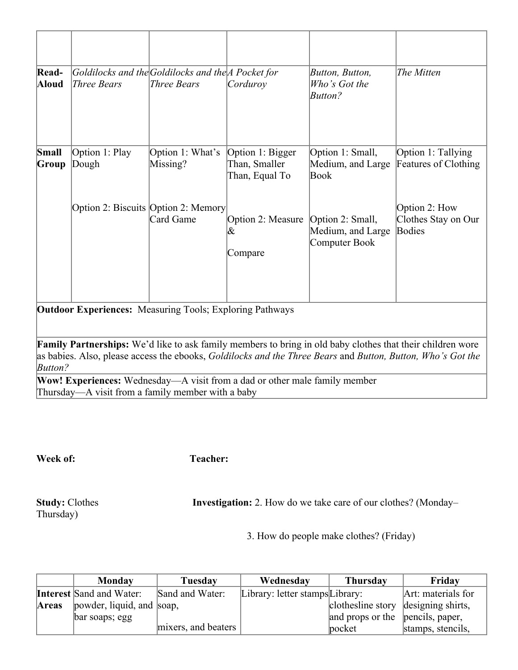| Read-<br>Aloud | Three Bears                                                     | Goldilocks and the Goldilocks and the A Pocket for<br>Three Bears | Corduroy                                            | Button, Button,<br>Who's Got the<br><b>Button?</b>                                                                | The Mitten                                     |  |
|----------------|-----------------------------------------------------------------|-------------------------------------------------------------------|-----------------------------------------------------|-------------------------------------------------------------------------------------------------------------------|------------------------------------------------|--|
| Small<br>Group | Option 1: Play<br>Dough                                         | Option 1: What's<br>Missing?                                      | Option 1: Bigger<br>Than, Smaller<br>Than, Equal To | Option 1: Small,<br>Medium, and Large<br>Book                                                                     | Option 1: Tallying<br>Features of Clothing     |  |
|                |                                                                 | Option 2: Biscuits Option 2: Memory<br>Card Game                  | Option 2: Measure<br>$\&$<br>Compare                | Option 2: Small,<br>Medium, and Large<br>Computer Book                                                            | Option 2: How<br>Clothes Stay on Our<br>Bodies |  |
|                | <b>Outdoor Experiences:</b> Measuring Tools; Exploring Pathways |                                                                   |                                                     |                                                                                                                   |                                                |  |
|                |                                                                 |                                                                   |                                                     | <b>Family Partnerships:</b> We'd like to ask family members to bring in old baby clothes that their children wore |                                                |  |

as babies. Also, please access the ebooks, *Goldilocks and the Three Bears* and *Button, Button, Who's Got the Button?*

**Wow! Experiences:** Wednesday—A visit from a dad or other male family member Thursday—A visit from a family member with a baby

**Week of:** Teacher:

Thursday)

**Study:** Clothes **Investigation:** 2. How do we take care of our clothes? (Monday–

3. How do people make clothes? (Friday)

|       | <b>Monday</b>                   | Tuesdav             | Wednesday                       | <b>Thursday</b>                     | Friday             |
|-------|---------------------------------|---------------------|---------------------------------|-------------------------------------|--------------------|
|       | <b>Interest Sand and Water:</b> | Sand and Water:     | Library: letter stamps Library: |                                     | Art: materials for |
| Areas | powder, liquid, and soap,       |                     |                                 | clothesline story designing shirts, |                    |
|       | bar soaps; egg                  |                     |                                 | and props or the pencils, paper,    |                    |
|       |                                 | mixers, and beaters |                                 | $ p$ ocket                          | stamps, stencils,  |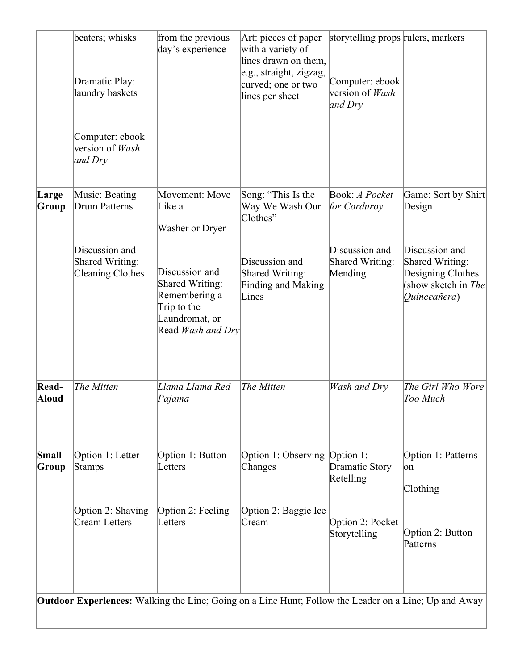|                       | beaters; whisks<br>Dramatic Play:<br>laundry baskets                | from the previous<br>day's experience                                                                           | Art: pieces of paper<br>with a variety of<br>lines drawn on them,<br>e.g., straight, zigzag,<br>curved; one or two<br>lines per sheet | storytelling props rulers, markers<br>Computer: ebook<br>version of Wash<br>and Dry |                                                                                               |
|-----------------------|---------------------------------------------------------------------|-----------------------------------------------------------------------------------------------------------------|---------------------------------------------------------------------------------------------------------------------------------------|-------------------------------------------------------------------------------------|-----------------------------------------------------------------------------------------------|
|                       | Computer: ebook<br>version of Wash<br>and Dry                       |                                                                                                                 |                                                                                                                                       |                                                                                     |                                                                                               |
| Large<br>Group        | Music: Beating<br>Drum Patterns                                     | Movement: Move<br>Like a<br>Washer or Dryer                                                                     | Song: "This Is the<br>Way We Wash Our<br>Clothes"                                                                                     | Book: A Pocket<br>for Corduroy                                                      | Game: Sort by Shirt<br>Design                                                                 |
|                       | Discussion and<br><b>Shared Writing:</b><br><b>Cleaning Clothes</b> | Discussion and<br><b>Shared Writing:</b><br>Remembering a<br>Trip to the<br>Laundromat, or<br>Read Wash and Dry | Discussion and<br>Shared Writing:<br><b>Finding and Making</b><br>Lines                                                               | Discussion and<br>Shared Writing:<br>Mending                                        | Discussion and<br>Shared Writing:<br>Designing Clothes<br>(show sketch in The<br>Quinceañera) |
| Read-<br><b>Aloud</b> | The Mitten                                                          | Llama Llama Red<br>Pajama                                                                                       | The Mitten                                                                                                                            | Wash and Dry                                                                        | The Girl Who Wore<br>Too Much                                                                 |
| Small<br>Group        | Option 1: Letter<br><b>Stamps</b>                                   | Option 1: Button<br>Letters                                                                                     | Option 1: Observing Option 1:<br>Changes                                                                                              | Dramatic Story<br>Retelling                                                         | Option 1: Patterns<br>юn<br>Clothing                                                          |
|                       | Option 2: Shaving<br>Cream Letters                                  | Option 2: Feeling<br>Letters                                                                                    | Option 2: Baggie Ice<br>Cream                                                                                                         | Option 2: Pocket<br>Storytelling                                                    | Option 2: Button<br>Patterns                                                                  |
|                       |                                                                     |                                                                                                                 | Outdoor Experiences: Walking the Line; Going on a Line Hunt; Follow the Leader on a Line; Up and Away                                 |                                                                                     |                                                                                               |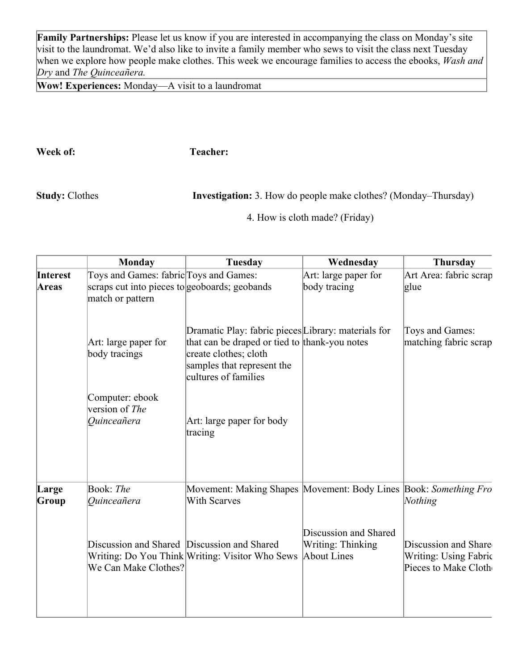**Family Partnerships:** Please let us know if you are interested in accompanying the class on Monday's site visit to the laundromat. We'd also like to invite a family member who sews to visit the class next Tuesday when we explore how people make clothes. This week we encourage families to access the ebooks, *Wash and Dry* and *The Quinceañera.*

**Wow! Experiences:** Monday—A visit to a laundromat

**Week of: Teacher:** 

**Study:** Clothes **Investigation:** 3. How do people make clothes? (Monday–Thursday)

4. How is cloth made? (Friday)

|                | Monday                                                              | Tuesday                                                                                                                                                                             | Wednesday                                                        | <b>Thursday</b>                                                       |
|----------------|---------------------------------------------------------------------|-------------------------------------------------------------------------------------------------------------------------------------------------------------------------------------|------------------------------------------------------------------|-----------------------------------------------------------------------|
| Interest       | Toys and Games: fabric Toys and Games:                              |                                                                                                                                                                                     | Art: large paper for                                             | Art Area: fabric scrap                                                |
| <b>Areas</b>   | scraps cut into pieces to geoboards; geobands<br>match or pattern   |                                                                                                                                                                                     | body tracing                                                     | glue                                                                  |
|                | Art: large paper for<br>body tracings                               | Dramatic Play: fabric pieces Library: materials for<br>that can be draped or tied to thank-you notes<br>create clothes; cloth<br>samples that represent the<br>cultures of families |                                                                  | Toys and Games:<br>matching fabric scrap                              |
|                | Computer: ebook<br>version of The<br>Ouinceañera                    | Art: large paper for body<br>tracing                                                                                                                                                |                                                                  |                                                                       |
| Large<br>Group | Book: The<br><i>Ouinceañera</i>                                     | Movement: Making Shapes Movement: Body Lines Book: Something Fro<br><b>With Scarves</b>                                                                                             |                                                                  | Nothing                                                               |
|                | Discussion and Shared Discussion and Shared<br>We Can Make Clothes? | Writing: Do You Think   Writing: Visitor Who Sews                                                                                                                                   | Discussion and Shared<br><b>Writing: Thinking</b><br>About Lines | Discussion and Share<br>Writing: Using Fabric<br>Pieces to Make Cloth |
|                |                                                                     |                                                                                                                                                                                     |                                                                  |                                                                       |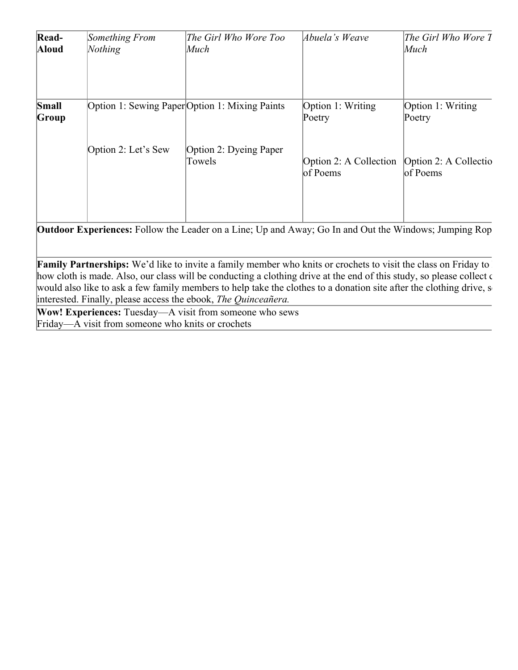| Read-<br><b>Aloud</b> | Something From<br><b>Nothing</b> | The Girl Who Wore Too<br>Much                  | Abuela's Weave                     | The Girl Who Wore T<br>Much       |
|-----------------------|----------------------------------|------------------------------------------------|------------------------------------|-----------------------------------|
| Small<br>Group        |                                  | Option 1: Sewing Paper Option 1: Mixing Paints | Option 1: Writing<br>Poetry        | Option 1: Writing<br>Poetry       |
|                       | Option 2: Let's Sew              | Option 2: Dyeing Paper<br>Towels               | Option 2: A Collection<br>of Poems | Option 2: A Collectio<br>of Poems |

**Outdoor Experiences:** Follow the Leader on a Line; Up and Away; Go In and Out the Windows; Jumping Rope

Family Partnerships: We'd like to invite a family member who knits or crochets to visit the class on Friday to how cloth is made. Also, our class will be conducting a clothing drive at the end of this study, so please collect c would also like to ask a few family members to help take the clothes to a donation site after the clothing drive, s interested. Finally, please access the ebook, *The Quinceañera.*

**Wow! Experiences:** Tuesday—A visit from someone who sews Friday—A visit from someone who knits or crochets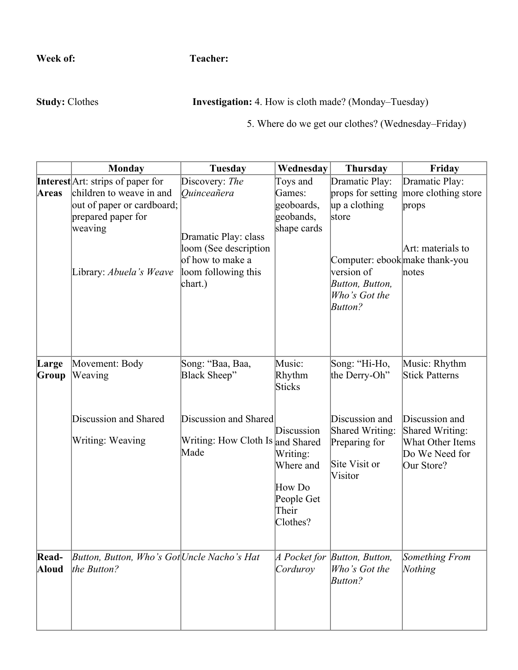**Week of: Teacher:** 

**Study:** Clothes **Investigation:** 4. How is cloth made? (Monday–Tuesday)

5. Where do we get our clothes? (Wednesday–Friday)

|                       | <b>Monday</b>                                                                                                      | <b>Tuesday</b>                                                                                                     | Wednesday                                                          | <b>Thursday</b>                                                                                                                            | Friday                                                                      |
|-----------------------|--------------------------------------------------------------------------------------------------------------------|--------------------------------------------------------------------------------------------------------------------|--------------------------------------------------------------------|--------------------------------------------------------------------------------------------------------------------------------------------|-----------------------------------------------------------------------------|
|                       | Interest Art: strips of paper for                                                                                  | Discovery: The                                                                                                     | Toys and                                                           | Dramatic Play:                                                                                                                             | Dramatic Play:                                                              |
| Areas                 | children to weave in and<br>out of paper or cardboard;<br>prepared paper for<br>weaving<br>Library: Abuela's Weave | Ouinceañera<br>Dramatic Play: class<br>loom (See description<br>of how to make a<br>loom following this<br>chart.) | Games:<br>geoboards,<br>geobands,<br>shape cards                   | props for setting<br>up a clothing<br>store<br>Computer: ebook make thank-you<br>version of<br>Button, Button,<br>Who's Got the<br>Button? | more clothing store<br>props<br>Art: materials to<br>notes                  |
| Large<br>Group        | Movement: Body<br>Weaving<br>Discussion and Shared                                                                 | Song: "Baa, Baa,<br>Black Sheep"<br>Discussion and Shared                                                          | Music:<br>Rhythm<br><b>Sticks</b><br>Discussion                    | Song: "Hi-Ho,<br>the Derry-Oh"<br>Discussion and<br>Shared Writing:                                                                        | Music: Rhythm<br><b>Stick Patterns</b><br>Discussion and<br>Shared Writing: |
|                       | Writing: Weaving                                                                                                   | Writing: How Cloth Is and Shared<br>Made                                                                           | Writing:<br>Where and<br>How Do<br>People Get<br>Their<br>Clothes? | Preparing for<br>Site Visit or<br>Visitor                                                                                                  | What Other Items<br>Do We Need for<br>Our Store?                            |
| Read-<br><b>Aloud</b> | Button, Button, Who's Got Uncle Nacho's Hat<br>the Button?                                                         |                                                                                                                    | A Pocket for<br>Corduroy                                           | Button, Button,<br>Who's Got the<br>Button?                                                                                                | Something From<br>Nothing                                                   |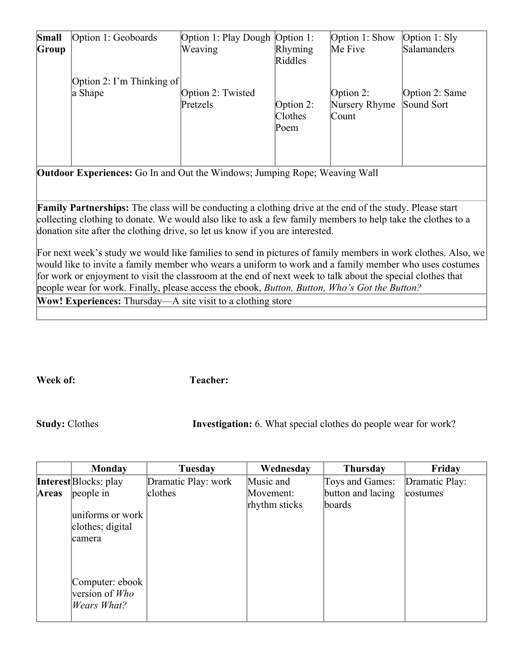| Small<br>Group | Option 1: Geoboards                                                               | Option 1: Play Dough Option 1:<br>Weaving | Rhyming<br>Riddles                  | Option $1:$ Show<br>Me Five            | Option $1:$ Sly<br>Salamanders |  |  |
|----------------|-----------------------------------------------------------------------------------|-------------------------------------------|-------------------------------------|----------------------------------------|--------------------------------|--|--|
|                | Option 2: I'm Thinking of<br>a Shape                                              | Option 2: Twisted<br>Pretzels             | Option 2:<br><b>Clothes</b><br>Poem | Option $2$ :<br>Nursery Rhyme<br>Count | Option 2: Same<br>Sound Sort   |  |  |
|                | <b>Outdoor Experiences:</b> Go In and Out the Windows; Jumping Rope; Weaving Wall |                                           |                                     |                                        |                                |  |  |

**Family Partnerships:** The class will be conducting a clothing drive at the end of the study. Please start collecting clothing to donate. We would also like to ask a few family members to help take the clothes to a donation site after the clothing drive, so let us know if you are interested.

For next week's study we would like families to send in pictures of family members in work clothes. Also, we would like to invite a family member who wears a uniform to work and a family member who uses costumes for work or enjoyment to visit the classroom at the end of next week to talk about the special clothes that people wear for work. Finally, please access the ebook, *Button, Button, Who's Got the Button?*

**Wow! Experiences:** Thursday—A site visit to a clothing store

**Week of: Teacher:** 

**Study:** Clothes **Investigation:** 6. What special clothes do people wear for work?

|       | <b>Monday</b>                                               | <b>Tuesday</b>      | Wednesday                  | <b>Thursday</b>             | Friday         |
|-------|-------------------------------------------------------------|---------------------|----------------------------|-----------------------------|----------------|
|       | <b>Interest</b> Blocks: play                                | Dramatic Play: work | Music and                  | Toys and Games:             | Dramatic Play: |
| Areas | people in<br>uniforms or work<br>clothes; digital<br>camera | clothes             | Movement:<br>rhythm sticks | button and lacing<br>boards | costumes       |
|       | Computer: ebook<br>version of Who<br>Wears What?            |                     |                            |                             |                |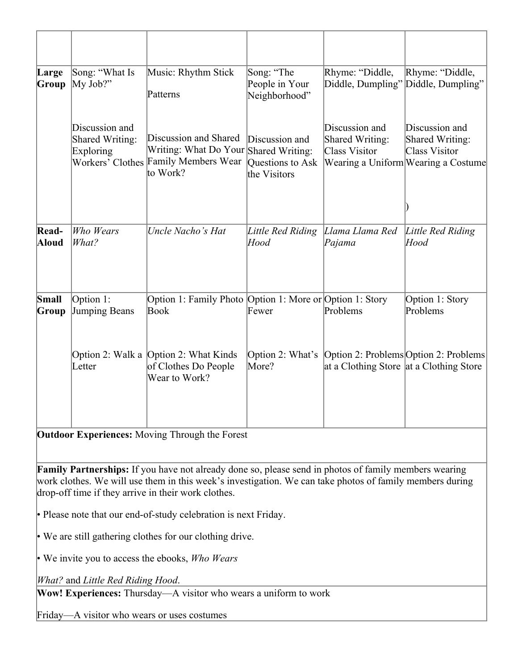| Large          | Song: "What Is                                                     | Music: Rhythm Stick                                                                               | Song: "The                                         | Rhyme: "Diddle,                                           | Rhyme: "Diddle,                                                                           |
|----------------|--------------------------------------------------------------------|---------------------------------------------------------------------------------------------------|----------------------------------------------------|-----------------------------------------------------------|-------------------------------------------------------------------------------------------|
| Group          | My Job?"                                                           | Patterns                                                                                          | People in Your<br>Neighborhood"                    | Diddle, Dumpling" Diddle, Dumpling"                       |                                                                                           |
|                | Discussion and<br>Shared Writing:<br>Exploring<br>Workers' Clothes | Discussion and Shared<br>Writing: What Do Your Shared Writing:<br>Family Members Wear<br>to Work? | Discussion and<br>Questions to Ask<br>the Visitors | Discussion and<br><b>Shared Writing:</b><br>Class Visitor | Discussion and<br>Shared Writing:<br>Class Visitor<br>Wearing a Uniform Wearing a Costume |
|                |                                                                    |                                                                                                   |                                                    |                                                           |                                                                                           |
| Read-<br>Aloud | Who Wears<br>What?                                                 | Uncle Nacho's Hat                                                                                 | Little Red Riding<br>Hood                          | Llama Llama Red<br>Pajama                                 | Little Red Riding<br>Hood                                                                 |
| Small<br>Group | Option 1:<br>Jumping Beans                                         | Option 1: Family Photo Option 1: More or Option 1: Story<br>Book                                  | Fewer                                              | Problems                                                  | Option 1: Story<br>Problems                                                               |
|                | Letter                                                             | Option 2: Walk a Option 2: What Kinds<br>of Clothes Do People<br>Wear to Work?                    | Option 2: What's<br>More?                          | at a Clothing Store at a Clothing Store                   | Option 2: Problems Option 2: Problems                                                     |
|                |                                                                    |                                                                                                   |                                                    |                                                           |                                                                                           |

**Outdoor Experiences:** Moving Through the Forest

**Family Partnerships:** If you have not already done so, please send in photos of family members wearing work clothes. We will use them in this week's investigation. We can take photos of family members during drop-off time if they arrive in their work clothes.

• Please note that our end-of-study celebration is next Friday.

• We are still gathering clothes for our clothing drive.

• We invite you to access the ebooks, *Who Wears*

*What?* and *Little Red Riding Hood*.

**Wow! Experiences:** Thursday—A visitor who wears a uniform to work

Friday—A visitor who wears or uses costumes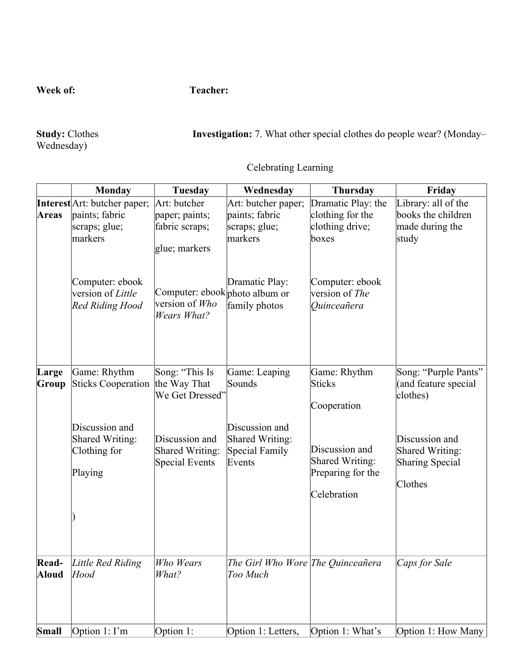**Week of:** Teacher:

Study: Clothes<br>Wednesday)

Investigation: 7. What other special clothes do people wear? (Monday–

# Celebrating Learning

|                | <b>Monday</b>                                                                                                                                       | <b>Tuesday</b>                                                                                                                              | Wednesday                                                                                               | <b>Thursday</b>                                                                                                                      | Friday                                                                                                                                    |
|----------------|-----------------------------------------------------------------------------------------------------------------------------------------------------|---------------------------------------------------------------------------------------------------------------------------------------------|---------------------------------------------------------------------------------------------------------|--------------------------------------------------------------------------------------------------------------------------------------|-------------------------------------------------------------------------------------------------------------------------------------------|
| <b>Areas</b>   | <b>Interest</b> Art: butcher paper;<br>paints; fabric<br>scraps; glue;<br>markers<br>Computer: ebook<br>version of Little<br><b>Red Riding Hood</b> | Art: butcher<br>paper; paints;<br>fabric scraps;<br>glue; markers<br>Computer: ebook photo album or<br>version of Who<br><b>Wears What?</b> | Art: butcher paper;<br>paints; fabric<br>scraps; $glue$ ;<br>markers<br>Dramatic Play:<br>family photos | Dramatic Play: the<br>clothing for the<br>clothing drive;<br>boxes<br>Computer: ebook<br>version of The<br><i><b>Ouinceañera</b></i> | Library: all of the<br>books the children<br>made during the<br>study                                                                     |
| Large<br>Group | Game: Rhythm<br>Sticks Cooperation<br>Discussion and<br>Shared Writing:<br>Clothing for<br>Playing                                                  | Song: "This Is<br>the Way That<br>We Get Dressed'<br>Discussion and<br>Shared Writing:<br>Special Events                                    | Game: Leaping<br>Sounds<br>Discussion and<br>Shared Writing:<br>Special Family<br>Events                | Game: Rhythm<br><b>Sticks</b><br>Cooperation<br>Discussion and<br>Shared Writing:<br>Preparing for the<br>Celebration                | Song: "Purple Pants"<br>(and feature special<br>clothes)<br>Discussion and<br><b>Shared Writing:</b><br><b>Sharing Special</b><br>Clothes |
| Read-<br>Aloud | Little Red Riding<br>Hood                                                                                                                           | Who Wears<br>What?                                                                                                                          | The Girl Who Wore The Quinceañera<br>Too Much                                                           |                                                                                                                                      | Caps for Sale                                                                                                                             |
| Small          | Option $1: \Gamma$ m                                                                                                                                | Option 1:                                                                                                                                   | Option 1: Letters,                                                                                      | Option 1: What's                                                                                                                     | Option 1: How Many                                                                                                                        |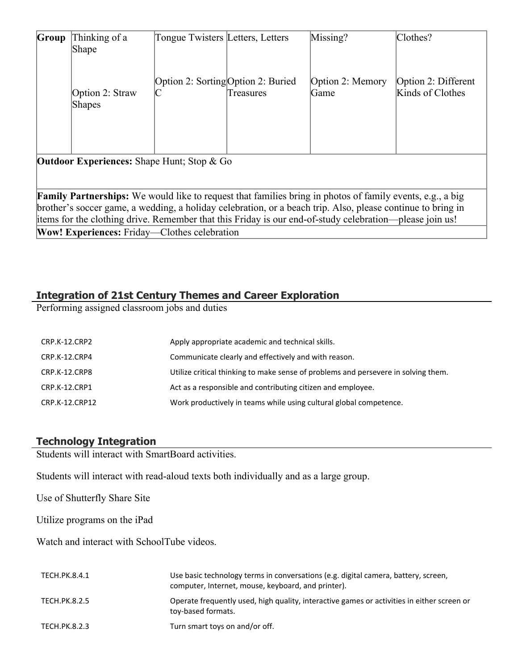| Group                                                                                                       | Thinking of a                                       | Tongue Twisters Letters, Letters   |           | Missing?                                                                                                         | Clothes?            |
|-------------------------------------------------------------------------------------------------------------|-----------------------------------------------------|------------------------------------|-----------|------------------------------------------------------------------------------------------------------------------|---------------------|
|                                                                                                             | Shape                                               |                                    |           |                                                                                                                  |                     |
|                                                                                                             |                                                     |                                    |           |                                                                                                                  |                     |
|                                                                                                             |                                                     |                                    |           |                                                                                                                  |                     |
|                                                                                                             |                                                     | Option 2: Sorting Option 2: Buried |           | Option 2: Memory                                                                                                 | Option 2: Different |
|                                                                                                             |                                                     |                                    |           |                                                                                                                  |                     |
|                                                                                                             | Option 2: Straw                                     |                                    | Treasures | Game                                                                                                             | Kinds of Clothes    |
|                                                                                                             | Shapes                                              |                                    |           |                                                                                                                  |                     |
|                                                                                                             |                                                     |                                    |           |                                                                                                                  |                     |
|                                                                                                             |                                                     |                                    |           |                                                                                                                  |                     |
|                                                                                                             |                                                     |                                    |           |                                                                                                                  |                     |
|                                                                                                             |                                                     |                                    |           |                                                                                                                  |                     |
| <b>Outdoor Experiences:</b> Shape Hunt; Stop & Go                                                           |                                                     |                                    |           |                                                                                                                  |                     |
|                                                                                                             |                                                     |                                    |           |                                                                                                                  |                     |
|                                                                                                             |                                                     |                                    |           |                                                                                                                  |                     |
|                                                                                                             |                                                     |                                    |           | <b>Family Partnerships:</b> We would like to request that families bring in photos of family events, e.g., a big |                     |
|                                                                                                             |                                                     |                                    |           |                                                                                                                  |                     |
| brother's soccer game, a wedding, a holiday celebration, or a beach trip. Also, please continue to bring in |                                                     |                                    |           |                                                                                                                  |                     |
|                                                                                                             |                                                     |                                    |           | items for the clothing drive. Remember that this Friday is our end-of-study celebration—please join us!          |                     |
|                                                                                                             | <b>Wow! Experiences:</b> Friday—Clothes celebration |                                    |           |                                                                                                                  |                     |

## **Integration of 21st Century Themes and Career Exploration**

Performing assigned classroom jobs and duties

| CRP.K-12.CRP2  | Apply appropriate academic and technical skills.                                   |
|----------------|------------------------------------------------------------------------------------|
| CRP.K-12.CRP4  | Communicate clearly and effectively and with reason.                               |
| CRP.K-12.CRP8  | Utilize critical thinking to make sense of problems and persevere in solving them. |
| CRP.K-12.CRP1  | Act as a responsible and contributing citizen and employee.                        |
| CRP.K-12.CRP12 | Work productively in teams while using cultural global competence.                 |

# **Technology Integration**

Students will interact with SmartBoard activities.

Students will interact with read-aloud texts both individually and as a large group.

Use of Shutterfly Share Site

Utilize programs on the iPad

Watch and interact with SchoolTube videos.

| TECH.PK.8.4.1 | Use basic technology terms in conversations (e.g. digital camera, battery, screen,<br>computer, Internet, mouse, keyboard, and printer). |
|---------------|------------------------------------------------------------------------------------------------------------------------------------------|
| TECH.PK.8.2.5 | Operate frequently used, high quality, interactive games or activities in either screen or<br>toy-based formats.                         |
| TECH.PK.8.2.3 | Turn smart toys on and/or off.                                                                                                           |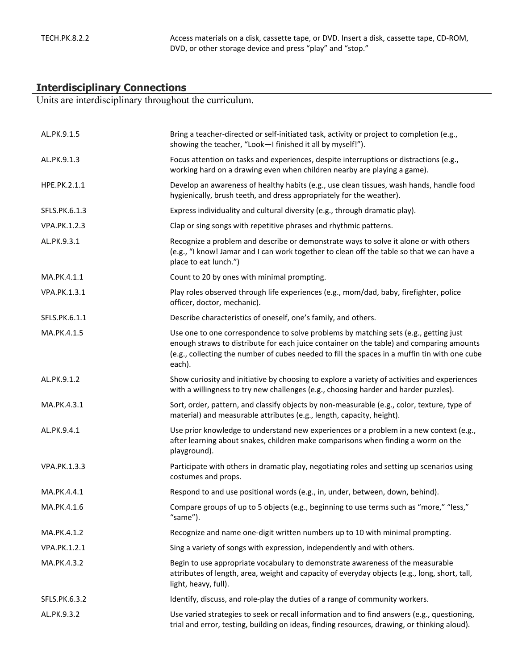#### **Interdisciplinary Connections**

Units are interdisciplinary throughout the curriculum.

| AL.PK.9.1.5   | Bring a teacher-directed or self-initiated task, activity or project to completion (e.g.,<br>showing the teacher, "Look-I finished it all by myself!").                                                                                                                                     |
|---------------|---------------------------------------------------------------------------------------------------------------------------------------------------------------------------------------------------------------------------------------------------------------------------------------------|
| AL.PK.9.1.3   | Focus attention on tasks and experiences, despite interruptions or distractions (e.g.,<br>working hard on a drawing even when children nearby are playing a game).                                                                                                                          |
| HPE.PK.2.1.1  | Develop an awareness of healthy habits (e.g., use clean tissues, wash hands, handle food<br>hygienically, brush teeth, and dress appropriately for the weather).                                                                                                                            |
| SFLS.PK.6.1.3 | Express individuality and cultural diversity (e.g., through dramatic play).                                                                                                                                                                                                                 |
| VPA.PK.1.2.3  | Clap or sing songs with repetitive phrases and rhythmic patterns.                                                                                                                                                                                                                           |
| AL.PK.9.3.1   | Recognize a problem and describe or demonstrate ways to solve it alone or with others<br>(e.g., "I know! Jamar and I can work together to clean off the table so that we can have a<br>place to eat lunch.")                                                                                |
| MA.PK.4.1.1   | Count to 20 by ones with minimal prompting.                                                                                                                                                                                                                                                 |
| VPA.PK.1.3.1  | Play roles observed through life experiences (e.g., mom/dad, baby, firefighter, police<br>officer, doctor, mechanic).                                                                                                                                                                       |
| SFLS.PK.6.1.1 | Describe characteristics of oneself, one's family, and others.                                                                                                                                                                                                                              |
| MA.PK.4.1.5   | Use one to one correspondence to solve problems by matching sets (e.g., getting just<br>enough straws to distribute for each juice container on the table) and comparing amounts<br>(e.g., collecting the number of cubes needed to fill the spaces in a muffin tin with one cube<br>each). |
| AL.PK.9.1.2   | Show curiosity and initiative by choosing to explore a variety of activities and experiences<br>with a willingness to try new challenges (e.g., choosing harder and harder puzzles).                                                                                                        |
| MA.PK.4.3.1   | Sort, order, pattern, and classify objects by non-measurable (e.g., color, texture, type of<br>material) and measurable attributes (e.g., length, capacity, height).                                                                                                                        |
| AL.PK.9.4.1   | Use prior knowledge to understand new experiences or a problem in a new context (e.g.,<br>after learning about snakes, children make comparisons when finding a worm on the<br>playground).                                                                                                 |
| VPA.PK.1.3.3  | Participate with others in dramatic play, negotiating roles and setting up scenarios using<br>costumes and props.                                                                                                                                                                           |
| MA.PK.4.4.1   | Respond to and use positional words (e.g., in, under, between, down, behind).                                                                                                                                                                                                               |
| MA.PK.4.1.6   | Compare groups of up to 5 objects (e.g., beginning to use terms such as "more," "less,"<br>"same").                                                                                                                                                                                         |
| MA.PK.4.1.2   | Recognize and name one-digit written numbers up to 10 with minimal prompting.                                                                                                                                                                                                               |
| VPA.PK.1.2.1  | Sing a variety of songs with expression, independently and with others.                                                                                                                                                                                                                     |
| MA.PK.4.3.2   | Begin to use appropriate vocabulary to demonstrate awareness of the measurable<br>attributes of length, area, weight and capacity of everyday objects (e.g., long, short, tall,<br>light, heavy, full).                                                                                     |
| SFLS.PK.6.3.2 | Identify, discuss, and role-play the duties of a range of community workers.                                                                                                                                                                                                                |
| AL.PK.9.3.2   | Use varied strategies to seek or recall information and to find answers (e.g., questioning,<br>trial and error, testing, building on ideas, finding resources, drawing, or thinking aloud).                                                                                                 |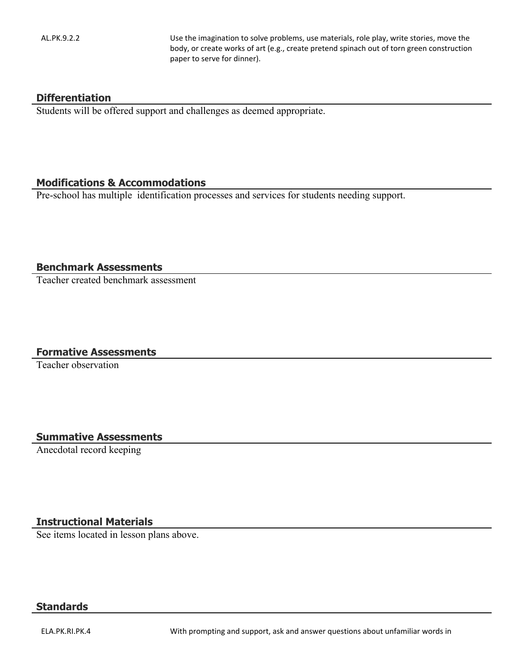AL.PK.9.2.2 Use the imagination to solve problems, use materials, role play, write stories, move the body, or create works of art (e.g., create pretend spinach out of torn green construction paper to serve for dinner).

#### **Differentiation**

Students will be offered support and challenges as deemed appropriate.

### **Modifications & Accommodations**

Pre-school has multiple identification processes and services for students needing support.

#### **Benchmark Assessments**

Teacher created benchmark assessment

#### **Formative Assessments**

Teacher observation

#### **Summative Assessments**

Anecdotal record keeping

#### **Instructional Materials**

See items located in lesson plans above.

#### **Standards**